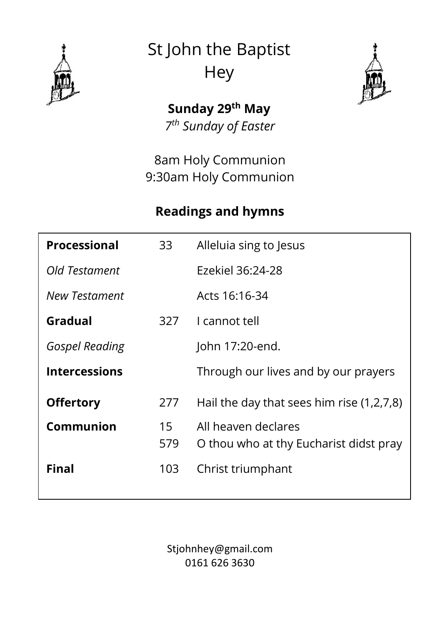

St John the Baptist **Hey** 



**Sunday 29th May** *7 th Sunday of Easter*

8am Holy Communion 9:30am Holy Communion

#### **Readings and hymns**

| <b>Processional</b>   | 33        | Alleluia sing to Jesus                                        |
|-----------------------|-----------|---------------------------------------------------------------|
| Old Testament         |           | Ezekiel 36:24-28                                              |
| New Testament         |           | Acts 16:16-34                                                 |
| Gradual               | 327       | I cannot tell                                                 |
| <b>Gospel Reading</b> |           | John 17:20-end.                                               |
| <b>Intercessions</b>  |           | Through our lives and by our prayers                          |
| <b>Offertory</b>      | 277       | Hail the day that sees him rise $(1,2,7,8)$                   |
| Communion             | 15<br>579 | All heaven declares<br>O thou who at thy Eucharist didst pray |
| Final                 | 103       | Christ triumphant                                             |

Stjohnhey@gmail.com 0161 626 3630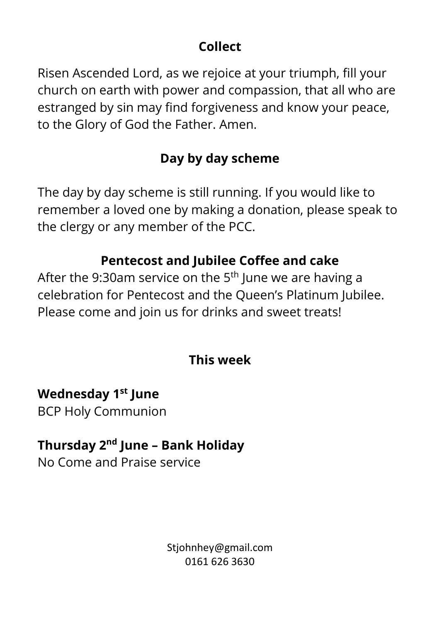## **Collect**

Risen Ascended Lord, as we rejoice at your triumph, fill your church on earth with power and compassion, that all who are estranged by sin may find forgiveness and know your peace, to the Glory of God the Father. Amen.

## **Day by day scheme**

The day by day scheme is still running. If you would like to remember a loved one by making a donation, please speak to the clergy or any member of the PCC.

## **Pentecost and Jubilee Coffee and cake**

After the 9:30am service on the  $5<sup>th</sup>$  June we are having a celebration for Pentecost and the Queen's Platinum Jubilee. Please come and join us for drinks and sweet treats!

#### **This week**

**Wednesday 1 st June** BCP Holy Communion

## **Thursday 2 nd June – Bank Holiday**

No Come and Praise service

Stjohnhey@gmail.com 0161 626 3630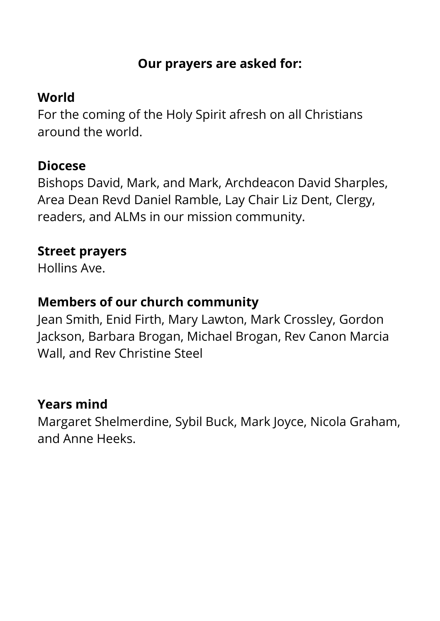#### **Our prayers are asked for:**

## **World**

For the coming of the Holy Spirit afresh on all Christians around the world.

#### **Diocese**

Bishops David, Mark, and Mark, Archdeacon David Sharples, Area Dean Revd Daniel Ramble, Lay Chair Liz Dent, Clergy, readers, and ALMs in our mission community.

#### **Street prayers**

Hollins Ave.

## **Members of our church community**

Jean Smith, Enid Firth, Mary Lawton, Mark Crossley, Gordon Jackson, Barbara Brogan, Michael Brogan, Rev Canon Marcia Wall, and Rev Christine Steel

#### **Years mind**

Margaret Shelmerdine, Sybil Buck, Mark Joyce, Nicola Graham, and Anne Heeks.